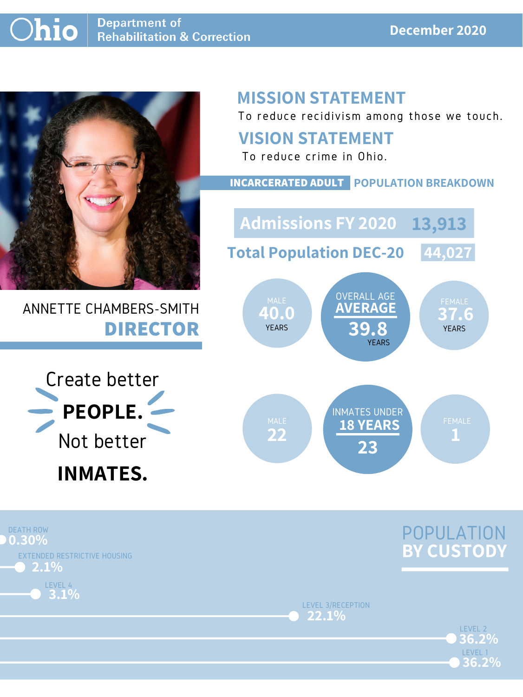

## ANNETTE CHAMBERS-SMITH **DIRECTOR**

## **MISSION STATEMENT**

To reduce recidivism among those we touch.





LEVEL 3/RECEPTION **22.1%**



#### **VISION STATEMENT**



To reduce crime in Ohio.

**40.0 37.6 AVERAGE 39.8** OVERALL AGE YEARS YEARS **YEARS** YEARS **PARTIAL PRODUCT** MALE UVERALL AUE FEMALE **Admissions FY 2020 13,913Total Population DEC-20 44,027**

#### **INCARCERATED ADULT POPULATION BREAKDOWN**

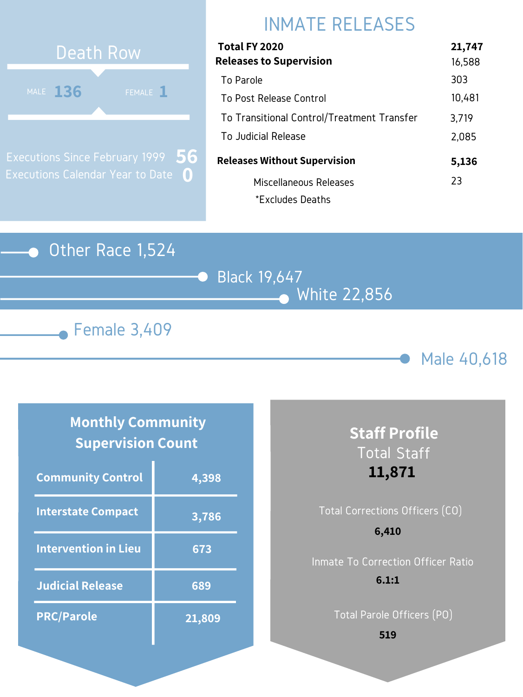#### Other Race 1,524

Black 19,647 White 22,856





## INMATE RELEASES



Executions Since February 1999 Executions Calendar Year to Date **0 56**

#### **Monthly Community Supervision Count**

| Total FY 2020                              | 21,747 |
|--------------------------------------------|--------|
| <b>Releases to Supervision</b>             | 16,588 |
| To Parole                                  | 303    |
| To Post Release Control                    | 10,481 |
| To Transitional Control/Treatment Transfer | 3,719  |
| To Judicial Release                        | 2,085  |
| <b>Releases Without Supervision</b>        | 5,136  |
| Miscellaneous Releases                     | 23     |
| *Excludes Deaths                           |        |

| <b>Community Control</b>    | 4,398  |
|-----------------------------|--------|
| <b>Interstate Compact</b>   | 3,786  |
| <b>Intervention in Lieu</b> | 673    |
| <b>Judicial Release</b>     | 689    |
| <b>PRC/Parole</b>           | 21,809 |

# Total Corrections Officers (CO) Inmate To Correction Officer Ratio **6,410**

## **Staff Profile** Total Staff **11,871**

Total Parole Officers (PO)

#### **6.1:1**

**519**